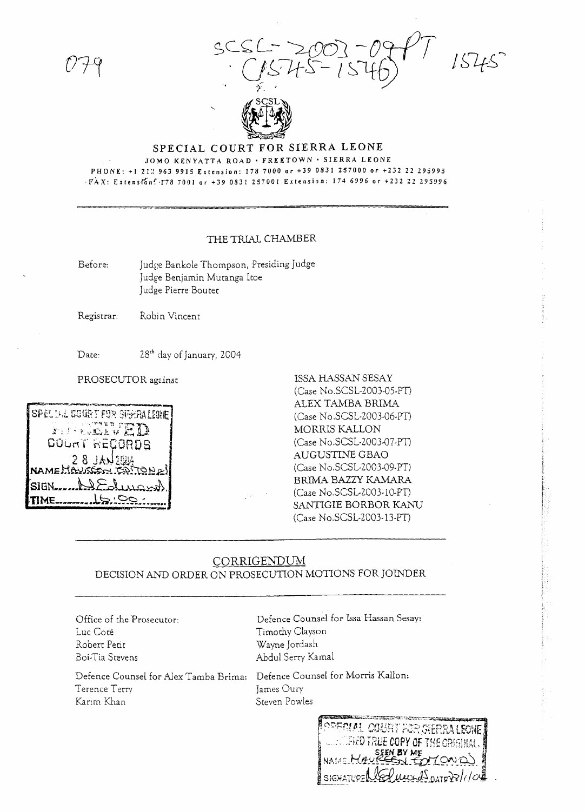scsC- 2003-09PT 1545



## **SPECIAL COURT FOR SIERRA LEONE** JOMO KENYATTA ROAD' FREETOWN' SIERRA LEONE

PHONE: +1 212 963 9915 Extension: 178 7000 or +39 0831 257000 or +232 22 295995 *'FAX: Extension' T78 7001 or +39 0831 257001 Extension: 174 6996 or +232 22 295996* 

## THE TRIAL CHAMBER

Before: Judge Bankole Thompson, Presiding Judge Judge Benjamin Muranga ltoe Judge Pierre Boutet

Registrar: Robin Vincent

Date:

28<sup>th</sup> day of January, 2004



PROSECUTOR against **ISSA HASSAN SESAY** (Case No.SCSL-2003-05-PT) ALEX TAMBA BRIMA (Case No.SCSL-2003-06-PT) MORRIS KALLON (Case No.SCSL-2003-07-PT) AUGUSTINE GBAO (Case No.SCSL-2003-09-PT) BRIMA BAZZY KAMARA (Case No.SCSL-2003-10-PT) SANTIGIE BORBOR KANU (Case No.SCSL-2003-13-PT)

## CORRIGENDUM DECISION AND ORDER ON PROSECUTION MOTIONS FOR JOINDER

Office of the Prosecutor: Luc Cote Robert Petit Boi-Tia Stevens

Defence Counsel for *Alex* Tamba Brima: Defence Counsel for Morris Kallon: Terence Terry James Oury Karim Khan Steven Powles

Defence Counsel for Issa Hassan Sesay: Timothy Clayson Wayne [ordash Abdul Serry Kamal

-05 T